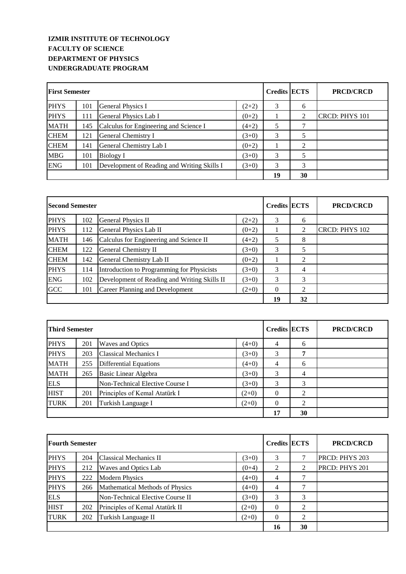## **IZMIR INSTITUTE OF TECHNOLOGY FACULTY OF SCIENCE DEPARTMENT OF PHYSICS UNDERGRADUATE PROGRAM**

| <b>First Semester</b> |     |                                             |         | <b>Credits ECTS</b> |    | <b>PRCD/CRCD</b> |
|-----------------------|-----|---------------------------------------------|---------|---------------------|----|------------------|
| <b>PHYS</b>           | 101 | General Physics I                           | $(2+2)$ | 3                   | 6  |                  |
| <b>PHYS</b>           | 111 | General Physics Lab I                       | $(0+2)$ |                     | 2  | CRCD: PHYS 101   |
| <b>MATH</b>           | 145 | Calculus for Engineering and Science I      | $(4+2)$ | 5                   | 7  |                  |
| <b>CHEM</b>           | 121 | General Chemistry I                         | $(3+0)$ | 3                   |    |                  |
| <b>CHEM</b>           | 141 | General Chemistry Lab I                     | $(0+2)$ |                     | 2  |                  |
| <b>MBG</b>            | 101 | Biology I                                   | $(3+0)$ | 3                   |    |                  |
| <b>ENG</b>            | 101 | Development of Reading and Writing Skills I | $(3+0)$ | 3                   | 3  |                  |
|                       |     |                                             |         | 19                  | 30 |                  |

| <b>Second Semester</b> |     |                                              |         | <b>Credits ECTS</b> |    | <b>PRCD/CRCD</b>      |
|------------------------|-----|----------------------------------------------|---------|---------------------|----|-----------------------|
| <b>PHYS</b>            | 102 | General Physics II                           | $(2+2)$ | 3                   | 6  |                       |
| <b>PHYS</b>            | 112 | General Physics Lab II                       | $(0+2)$ |                     | 2  | <b>CRCD: PHYS 102</b> |
| <b>MATH</b>            | 146 | Calculus for Engineering and Science II      | $(4+2)$ | 5                   | 8  |                       |
| <b>CHEM</b>            | 122 | General Chemistry II                         | $(3+0)$ | 3                   | 5  |                       |
| <b>CHEM</b>            | 142 | General Chemistry Lab II                     | $(0+2)$ |                     | 2  |                       |
| <b>PHYS</b>            | 114 | Introduction to Programming for Physicists   | $(3+0)$ | 3                   | 4  |                       |
| <b>ENG</b>             | 102 | Development of Reading and Writing Skills II | $(3+0)$ | 3                   | 3  |                       |
| <b>GCC</b>             | 101 | Career Planning and Development              | $(2+0)$ | $\Omega$            | 2  |                       |
|                        |     |                                              |         |                     | 32 |                       |

| Third Semester |     |                                 | <b>Credits ECTS</b> |                | <b>PRCD/CRCD</b> |  |
|----------------|-----|---------------------------------|---------------------|----------------|------------------|--|
| <b>PHYS</b>    | 201 | <b>Waves and Optics</b>         | $(4+0)$             | 4              | 6                |  |
| <b>PHYS</b>    | 203 | <b>Classical Mechanics I</b>    | $(3+0)$             | 3              | 7                |  |
| <b>MATH</b>    | 255 | <b>Differential Equations</b>   | $(4+0)$             | $\overline{4}$ | 6                |  |
| <b>MATH</b>    | 265 | Basic Linear Algebra            | $(3+0)$             | 3              | 4                |  |
| <b>ELS</b>     |     | Non-Technical Elective Course I | $(3+0)$             | 3              | 3                |  |
| <b>HIST</b>    | 201 | Principles of Kemal Atatürk I   | $(2+0)$             | $\theta$       | 2                |  |
| <b>TURK</b>    | 201 | Turkish Language I              | $(2+0)$             | $\theta$       | 2                |  |
|                |     |                                 |                     | 17             | 30               |  |

| <b>Fourth Semester</b> |     |                                  | <b>Credits ECTS</b> |                | <b>PRCD/CRCD</b> |                       |
|------------------------|-----|----------------------------------|---------------------|----------------|------------------|-----------------------|
| <b>PHYS</b>            | 204 | Classical Mechanics II           | $(3+0)$             | 3              |                  | <b>PRCD: PHYS 203</b> |
| <b>PHYS</b>            | 212 | Waves and Optics Lab             | $(0+4)$             | 2              | 2                | PRCD: PHYS 201        |
| <b>PHYS</b>            | 222 | <b>Modern Physics</b>            | $(4+0)$             | 4              |                  |                       |
| <b>PHYS</b>            | 266 | Mathematical Methods of Physics  | $(4+0)$             | $\overline{4}$ | 7                |                       |
| <b>ELS</b>             |     | Non-Technical Elective Course II | $(3+0)$             | 3              | 3                |                       |
| <b>HIST</b>            | 202 | Principles of Kemal Atatürk II   | $(2+0)$             | $\Omega$       | $\mathfrak{D}$   |                       |
| <b>TURK</b>            | 202 | Turkish Language II              | $(2+0)$             | $\Omega$       | 2                |                       |
|                        |     |                                  | 16                  | 30             |                  |                       |